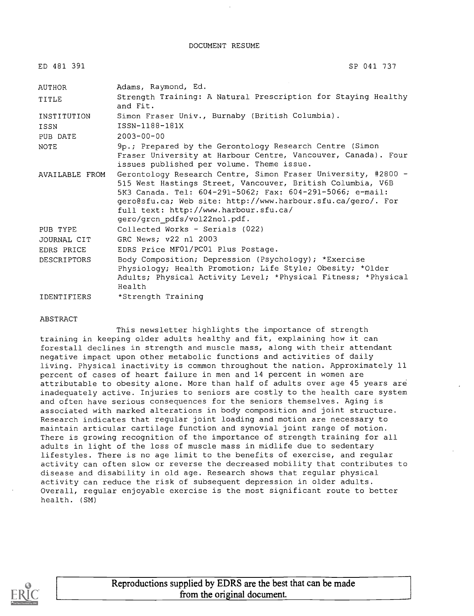DOCUMENT RESUME

| ED 481 391         | SP 041 737                                                                                                                                                                                                                                                                                                                       |
|--------------------|----------------------------------------------------------------------------------------------------------------------------------------------------------------------------------------------------------------------------------------------------------------------------------------------------------------------------------|
| AUTHOR             | Adams, Raymond, Ed.                                                                                                                                                                                                                                                                                                              |
| TITLE              | Strength Training: A Natural Prescription for Staying Healthy<br>and Fit.                                                                                                                                                                                                                                                        |
| INSTITUTION        | Simon Fraser Univ., Burnaby (British Columbia).                                                                                                                                                                                                                                                                                  |
| ISSN               | ISSN-1188-181X                                                                                                                                                                                                                                                                                                                   |
| PUB DATE           | $2003 - 00 - 00$                                                                                                                                                                                                                                                                                                                 |
| <b>NOTE</b>        | 9p.; Prepared by the Gerontology Research Centre (Simon<br>Fraser University at Harbour Centre, Vancouver, Canada). Four<br>issues published per volume. Theme issue.                                                                                                                                                            |
| AVAILABLE FROM     | Gerontology Research Centre, Simon Fraser University, #2800 -<br>515 West Hastings Street, Vancouver, British Columbia, V6B<br>5K3 Canada. Tel: 604-291-5062; Fax: 604-291-5066; e-mail:<br>gero@sfu.ca; Web site: http://www.harbour.sfu.ca/gero/. For<br>full text: http://www.harbour.sfu.ca/<br>gero/grcn pdfs/vol22no1.pdf. |
| PUB TYPE           | Collected Works - Serials (022)                                                                                                                                                                                                                                                                                                  |
| JOURNAL CIT        | GRC News; v22 n1 2003                                                                                                                                                                                                                                                                                                            |
| EDRS PRICE         | EDRS Price MF01/PC01 Plus Postage.                                                                                                                                                                                                                                                                                               |
| <b>DESCRIPTORS</b> | Body Composition; Depression (Psychology); *Exercise<br>Physiology; Health Promotion; Life Style; Obesity; *Older<br>Adults; Physical Activity Level; *Physical Fitness; *Physical<br>Health                                                                                                                                     |
| <b>IDENTIFIERS</b> | *Strength Training                                                                                                                                                                                                                                                                                                               |

#### ABSTRACT

This newsletter highlights the importance of strength training in keeping older adults healthy and fit, explaining how it can forestall declines in strength and muscle mass, along with their attendant negative impact upon other metabolic functions and activities of daily living. Physical inactivity is common throughout the nation. Approximately 11 percent of cases of heart failure in men and 14 percent in women are attributable to obesity alone. More than half of adults over age 45 years are inadequately active. Injuries to seniors are costly to the health care system and often have serious consequences for the seniors themselves. Aging is associated with marked alterations in body composition and joint structure. Research indicates that regular joint loading and motion are necessary to maintain articular cartilage function and synovial joint range of motion. There is growing recognition of the importance of strength training for all adults in light of the loss of muscle mass in midlife due to sedentary lifestyles. There is no age limit to the benefits of exercise, and regular activity can often slow or reverse the decreased mobility that contributes to disease and disability in old age. Research shows that regular physical activity can reduce the risk of subsequent depression in older adults. Overall, regular enjoyable exercise is the most significant route to better health. (SM)



Reproductions supplied by EDRS are the best that can be made from the original document.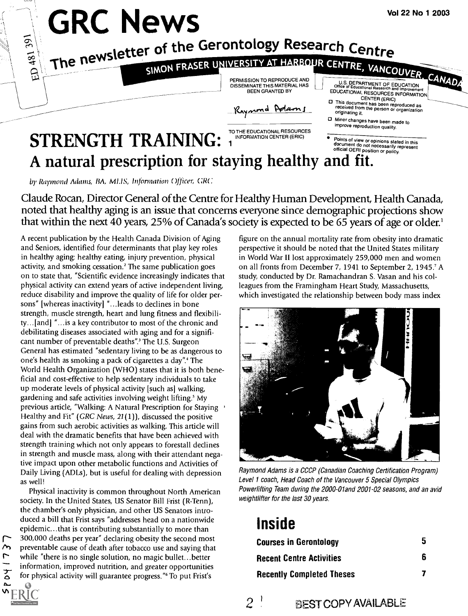

by Raymond Adams, BA, MLIS, Information Officer, GRC

Claude Rocan, Director General of the Centre for Healthy Human Development, Health Canada, noted that healthy aging is an issue that concerns everyone since demographic projections show that within the next 40 years, 25% of Canada's society is expected to be 65 years of age or older.'

A recent publication by the Health Canada Division of Aging and Seniors, identified four determinants that play key roles in healthy aging: healthy eating, injury prevention, physical activity, and smoking cessation.' The same publication goes on to state that, "Scientific evidence increasingly indicates that physical activity can extend years of active independent living, reduce disability and improve the quality of life for older persons" [whereas inactivity] "...leads to declines in bone strength, muscle strength, heart and lung fitness and flexibility...[and] "...is a key contributor to most of the chronic and debilitating diseases associated with aging and for a significant number of preventable deaths".<sup>3</sup> The U.S. Surgeon General has estimated "sedentary living to be as dangerous to one's health as smoking a pack of cigarettes a day".<sup>4</sup> The World Health Organization (WHO) states that it is both beneficial and cost-effective to help sedentary individuals to take up moderate levels of physical activity [such as] walking, gardening and safe activities involving weight lifting.' My previous article, "Walking: A Natural Prescription for Staying Healthy and Fit" (GRC News, 21(1)), discussed the positive gains from such aerobic activities as walking. This article will deal with the dramatic benefits that have been achieved with strength training which not only appears to forestall declines in strength and muscle mass, along with their attendant negative impact upon other metabolic functions and Activities of Daily Living (ADLs), but is useful for dealing with depression as well!

Physical inactivity is common throughout North American society. In the United States, US Senator Bill Frist (R-Tenn), the chamber's only physician, and other US Senators introduced a bill that Frist says "addresses head on a nationwide epidemic...that is contributing substantially to more than 300,000 deaths per year" declaring obesity the second most preventable cause of death after tobacco use and saying that while "there is no single solution, no magic bullet...better information, improved nutrition, and greater opportunities for physical activity will guarantee progress."<sup>6</sup> To put Frist's

 $\sim$ 

7140

 $\Delta$ 

figure on the annual mortality rate from obesity into dramatic perspective it should be noted that the United States military in World War II lost approximately 259,000 men and women on all fronts from December 7, 1941 to September 2, 1945.<sup>7</sup> A study, conducted by Dr. Ramachandran S. Vasan and his colleagues from the Framingham Heart Study, Massachusetts, which investigated the relationship between body mass index



Raymond Adams is a CCCP (Canadian Coaching Certification Program) Level 1 coach, Head Coach of the Vancouver 5 Special Olympics Powerlifting Team during the 2000-01and 2001-02 seasons, and an avid weightlifter for the last 30 years.

# **Inside**

| <b>Courses in Gerontology</b>    | h |
|----------------------------------|---|
| <b>Recent Centre Activities</b>  | ĥ |
| <b>Recently Completed Theses</b> |   |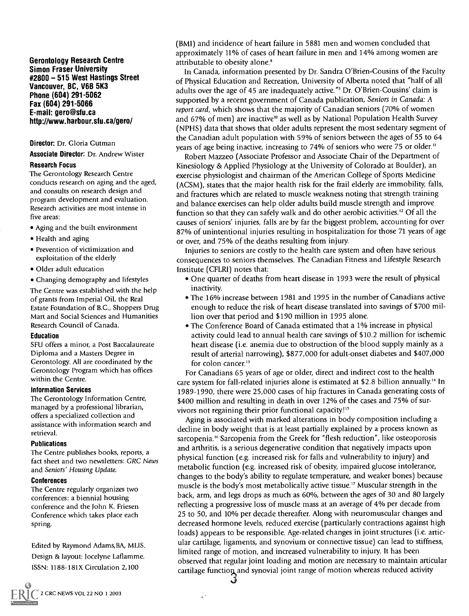Gerontology Research Centre Simon Fraser University #2800 515 West Hastings Street Vancouver, BC, V6B 5K3 Phone (604) 291-5062 Fax (604) 291-5066 E-mail: gero@sfu.ca http://www.harbour.sfu.ca/gero/

#### Director: Dr. Gloria Gutman

Associate Director: Dr. Andrew Wister

### Research Focus

The Gerontology Research Centre conducts research on aging and the aged, and consults on research design and program development and evaluation. Research activities are most intense in five areas:

- Aging and the built environment
- Health and aging
- Prevention of victimization and exploitation of the elderly
- Older adult education
- Changing demography and lifestyles

The Centre was established with the help of grants from Imperial Oil, the Real Estate Foundation of B.C., Shoppers Drug Mart and Social Sciences and Humanities Research Council of Canada.

### Education

SFU offers a minor, a Post Baccalaureate Diploma and a Masters Degree in Gerontology. All are coordinated by the Gerontology Program which has offices within the Centre.

### Information Services

The Gerontology Information Centre, managed by a professional librarian, offers a specialized collection and assistance with information search and retrieval.

### Publications

The Centre publishes books, reports, a fact sheet and two newsletters: GRC News and Seniors' Housing Update.

### Conferences

The Centre regularly organizes two conferences: a biennial housing conference and the John K. Friesen Conference which takes place each spring.

Edited by Raymond Adams,BA, MLIS. Design & layout: Jocelyne Laflamme. ISSN: 1188-181X Circulation 2,100

(BMI) and incidence of heart failure in 5881 men and women concluded that approximately 11% of cases of heart failure in men and 14% among women are attributable to obesity alone.<sup>8</sup>

In Canada, information presented by Dr. Sandra O'Brien-Cousins of the Faculty of Physical Education and Recreation, University of Alberta noted that "half of all adults over the age of 45 are inadequately active."' Dr. O'Brien-Cousins' claim is supported by a recent government of Canada publication, Seniors in Canada: A report card, which shows that the majority of Canadian seniors (70% of women and 67% of men) are inactive<sup>10</sup> as well as by National Population Health Survey (NPHS) data that shows that older adults represent the most sedentary segment of the Canadian adult population with 59% of seniors between the ages of 55 to 64 years of age being inactive, increasing to 74% of seniors who were 75 or older."

Robert Mazzeo (Associate Professor and Associate Chair of the Department of Kinesiology & Applied Physiology at the University of Colorado at Boulder), an exercise physiologist and chairman of the American College of Sports Medicine (ACSM), states that the major health risk for the frail elderly are immobility, falls, and fractures which are related to muscle weakness noting that strength training and balance exercises can help older adults build muscle strength and improve function so that they can safely walk and do other aerobic activities.<sup>12</sup> Of all the causes of seniors' injuries, falls are by far the biggest problem, accounting for over 87% of unintentional injuries resulting in hospitalization for those 71 years of age or over, and 75% of the deaths resulting from injury.

Injuries to seniors are costly to the health care system and often have serious consequences to seniors themselves. The Canadian Fitness and Lifestyle Research Institute (CFLRI) notes that:

- One quarter of deaths from heart disease in 1993 were the result of physical inactivity.
- The 16% increase between 1981 and 1995 in the number of Canadians active enough to reduce the risk of heart disease translated into savings of \$700 million over that period and \$190 million in 1995 alone.
- The Conference Board of Canada estimated that a 1% increase in physical activity could lead to annual health care savings of \$10.2 million for ischemic heart disease (i.e. anemia due to obstruction of the blood supply mainly as a result of arterial narrowing), \$877,000 for adult-onset diabetes and \$407,000 for colon cancer.<sup>13</sup>

For Canadians 65 years of age or older, direct and indirect cost to the health care system for fall-related injuries alone is estimated at \$2.8 billion annually.<sup>14</sup> In 1989-1990, there were 25,000 cases of hip fractures in Canada generating costs of \$400 million and resulting in death in over 12% of the cases and 75% of survivors not regaining their prior functional capacity!"

Aging is associated with marked alterations in body composition including a decline in body weight that is at least partially explained by a process known as sarcopenia.<sup>16</sup> Sarcopenia from the Greek for "flesh reduction", like osteoporosis and arthritis, is a serious degenerative condition that negatively impacts upon physical function (e.g. increased risk for falls and vulnerability to injury) and metabolic function (e.g. increased risk of obesity, impaired glucose intolerance, changes to the body's ability to regulate temperature, and weaker bones) because muscle is the body's most metabolically active tissue.<sup>17</sup> Muscular strength in the back, arm, and legs drops as much as 60%, between the ages of 30 and 80 largely reflecting a progressive loss of muscle mass at an average of 4% per decade from 25 to 50, and 10% per decade thereafter. Along with neuromuscular changes and decreased hormone levels, reduced exercise (particularly contractions against high loads) appears to be responsible. Age-related changes in joint structures (i.e. articular cartilage, ligaments, and synovium or connective tissue) can lead to stiffness, limited range of motion, and increased vulnerability to injury. It has been observed that regular joint loading and motion are necessary to maintain articular cartilage function and synovial joint range of motion whereas reduced activity

Ž.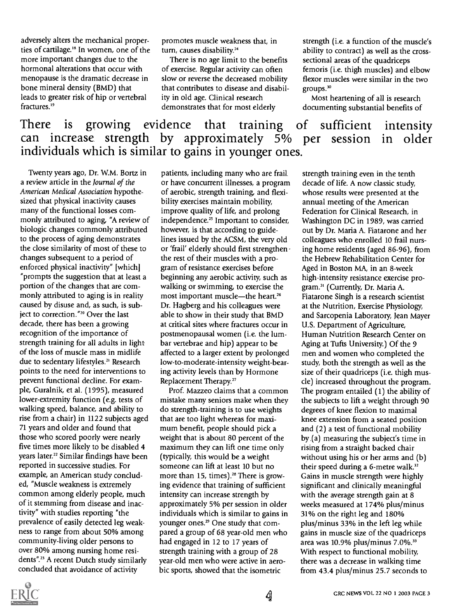adversely alters the mechanical properties of cartilage.<sup>18</sup> In women, one of the more important changes due to the hormonal alterations that occur with menopause is the dramatic decrease in bone mineral density (BMD) that leads to greater risk of hip or vertebral fractures.<sup>19</sup>

promotes muscle weakness that, in turn, causes disability.<sup>24</sup>

There is no age limit to the benefits of exercise. Regular activity can often slow or reverse the decreased mobility that contributes to disease and disability in old age. Clinical research demonstrates that for most elderly

strength (i.e. a function of the muscle's ability to contract) as well as the crosssectional areas of the quadriceps femoris (i.e. thigh muscles) and elbow flexor muscles were similar in the two groups.'

Most heartening of all is research documenting substantial benefits of

# There is growing evidence that training of sufficient intensity can increase strength by approximately 5% per session in older individuals which is similar to gains in younger ones.

Twenty years ago, Dr. W.M. Bortz in a review article in the Journal of the American Medical Association hypothesized that physical inactivity causes many of the functional losses commonly attributed to aging, "A review of biologic changes commonly attributed to the process of aging demonstrates the close similarity of most of these to changes subsequent to a period of enforced physical inactivity" [which] "prompts the suggestion that at least a portion of the changes that are commonly attributed to aging is in reality caused by disuse and, as such, is subject to correction."<sup>20</sup> Over the last decade, there has been a growing recognition of the importance of strength training for all adults in light of the loss of muscle mass in midlife due to sedentary lifestyles.<sup>21</sup> Research points to the need for interventions to prevent functional decline. For example, Guralnik, et al. (1995), measured lower-extremity function (e.g. tests of walking speed, balance, and ability to rise from a chair) in 1122 subjects aged 71 years and older and found that those who scored poorly were nearly five times more likely to be disabled 4 years later.<sup>22</sup> Similar findings have been reported in successive studies. For example, an American study concluded, "Muscle weakness is extremely common among elderly people, much of it stemming from disease and inactivity" with studies reporting "the prevalence of easily detected leg weakness to range from about 50% among community-living older persons to over 80% among nursing home residents".<sup>23</sup> A recent Dutch study similarly concluded that avoidance of activity

patients, including many who are frail or have concurrent illnesses, a program of aerobic, strength training, and flexibility exercises maintain mobility, improve quality of life, and prolong independence.<sup>25</sup> Important to consider, however, is that according to guidelines issued by the ACSM, the very old or 'frail' elderly should first strengthen the rest of their muscles with a program of resistance exercises before beginning any aerobic activity, such as walking or swimming, to exercise the most important muscle-the heart.<sup>26</sup> Dr. Hagberg and his colleagues were able to show in their study that BMD at critical sites where fractures occur in postmenopausal women (i.e. the lumbar vertebrae and hip) appear to be affected to a larger extent by prolonged low-to-moderate-intensity weight-bearing activity levels than by Hormone Replacement Therapy."

Prof. Mazzeo claims that a common mistake many seniors make when they do strength-training is to use weights that are too light whereas for maximum benefit, people should pick a weight that is about 80 percent of the maximum they can lift one time only (typically, this would be a weight someone can lift at least 10 but no more than 15, times).<sup>28</sup> There is growing evidence that training of sufficient intensity can increase strength by approximately 5% per session in older individuals which is similar to gains in younger ones.<sup>29</sup> One study that compared a group of 68 year-old men who had engaged in 12 to 17 years of strength training with a group of 28 year-old men who were active in aerobic sports, showed that the isometric

strength training even in the tenth decade of life. A now classic study, whose results were presented at the annual meeting of the American Federation for Clinical Research, in Washington DC in 1989, was carried out by Dr. Maria A. Fiatarone and her colleagues who enrolled 10 frail nursing home residents (aged 86-96), from the Hebrew Rehabilitation Center for Aged in Boston MA, in an 8-week high-intensity resistance exercise program.3' (Currently, Dr. Maria A. Fiatarone Singh is a research scientist at the Nutrition, Exercise Physiology, and Sarcopenia Laboratory, Jean Mayer U.S. Department of Agriculture, Human Nutrition Research Center on Aging at Tufts University.) Of the 9 men and women who completed the study, both the strength as well as the size of their quadriceps (i.e. thigh muscle) increased throughout the program. The program entailed (1) the ability of the subjects to lift a weight through 90 degrees of knee flexion to maximal knee extension from a seated position and (2) a test of functional mobility by (a) measuring the subject's time in rising from a straight backed chair without using his or her arms and (b) their speed during a 6-metre walk.<sup>32</sup> Gains in muscle strength were highly significant and clinically meaningful with the average strength gain at 8 weeks measured at 174% plus/minus 31% on the right leg and 180% plus/minus 33% in the left leg while gains in muscle size of the quadriceps area was 10.9% plus/minus 7.0%.<sup>33</sup> With respect to functional mobility, there was a decrease in walking time from 43.4 plus/minus 25.7 seconds to

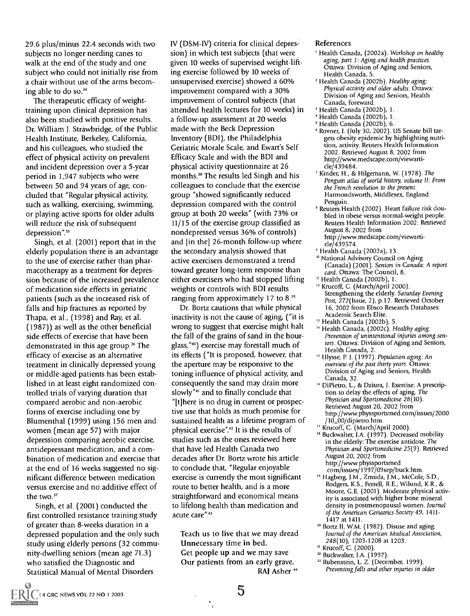29.6 plus/minus 22.4 seconds with two subjects no longer needing canes to walk at the end of the study and one subject who could not initially rise from a chair without use of the arms becoming able to do so.<sup>34</sup>

The therapeutic efficacy of weighttraining upon clinical depression has also been studied with positive results. Dr. William J. Strawbridge, of the Public Health Institute, Berkeley, California, and his colleagues, who studied the effect of physical activity on prevalent and incident depression over a 5-year period in 1,947 subjects who were between 50 and 94 years of age, concluded that "Regular physical activity, such as walking, exercising, swimming, or playing active sports for older adults will reduce the risk of subsequent depression".<sup>35</sup>

Singh, et al. (2001) report that in the elderly population there is an advantage to the use of exercise rather than pharmacotherapy as a treatment for depression because of the increased prevalence of medication side effects in geriatric patients (such as the increased risk of falls and hip fractures as reported by Thapa, et al., (1998) and Ray, et al. (1987)) as well as the other beneficial side effects of exercise that have been demonstrated in this age group.<sup>36</sup> The efficacy of exercise as an alternative treatment in clinically depressed young or middle-aged patients has been established in at least eight randomized controlled trials of varying duration that compared aerobic and non-aerobic forms of exercise including one by Blumenthal (1999) using 156 men and women (mean age 57) with major depression comparing aerobic exercise, antidepressant medication, and a combination of medication and exercise that at the end of 16 weeks suggested no significant difference between medication versus exercise and no additive effect of the two.<sup>37</sup>

Singh, et al. (2001) conducted the first controlled resistance training study of greater than 8-weeks duration in a depressed population and the only such study using elderly persons (32 community-dwelling seniors (mean age 71.3) who satisfied the Diagnostic and Statistical Manual of Mental Disorders

IV (DSM-IV) criteria for clinical depression) in which test subjects (that were given 10 weeks of supervised weight-lifting exercise followed by 10 weeks of unsupervised exercise) showed a 60% improvement compared with a 30% improvement of control subjects (that attended health lectures for 10 weeks) in a follow-up assessment at 20 weeks made with the Beck Depression Inventory (BDI), the Philadelphia Geriatric Morale Scale, and Ewart's Self Efficacy Scale and with the BDI and physical activity questionnaire at 26 months.<sup>38</sup> The results led Singh and his colleagues to conclude that the exercise group "showed significantly reduced depression compared with the control group at both 20 weeks" (with 73% or 11/15 of the exercise group classified as nondepressed versus 36% of controls) and [in the] 26-month follow-up where the secondary analysis showed that active exercisers demonstrated a trend toward greater long-term response than either exercisers who had stopped lifting weights or controls with BDI results ranging from approximately 17 to 8.<sup>39</sup>

Dr. Bortz cautions that while physical inactivity is not the cause of aging, ("it is wrong to suggest that exercise might halt the fall of the grains of sand in the hourglass,"") exercise may forestall much of its effects ("It is proposed, however, that the aperture may be responsive to the toning influence of physical activity, and consequently the sand may drain more slowly"<sup>41</sup> and to finally conclude that "[t]here is no drug in current or prospective use that holds as much promise for sustained health as a lifetime program of physical exercise".<sup>42</sup> It is the results of studies such as the ones reviewed here that have led Health Canada two decades after Dr. Bortz wrote his article to conclude that, "Regular enjoyable exercise is currently the most significant route to better health, and is a more straightforward and economical means to lifelong health than medication and acute care".<sup>43</sup>

Teach us to live that we may dread Unnecessary time in bed. Get people up and we may save Our patients from an early grave. RAJ Asher<sup>44</sup>

#### References

- ' Health Canada, (2002a). Workshop on healthy aging, part 1: Aging and health practices. Ottawa: Division of Aging and Seniors, Health Canada, 5.
- <sup>2</sup> Health Canada (2002b). Healthy aging: Physical activity and older adults. Ottawa: Division of Aging and Seniors, Health Canada, foreward.
- <sup>3</sup> Health Canada (2002b), 1.
- Health Canada (2002b), 1.
- 5 Health Canada (2002b), 6.
- 6 Rovner, J. (July 30, 2002). US Senate bill targets obesity epidemic by highlighting nutrition, activity. Reuters Health Information 2002. Retrieved August 8, 2002 from http://www.medscape.com/viewarticle/439484.
- ' Kinder, H., & Hilgemann, W. (1978). The Penguin atlas of world history, volume 11: From the French revolution to the present. Harmondsworth, Middlesex, England: Penguin.
- Reuters Health (2002). Heart failure risk doubled in obese versus normal-weight people. Reuters Health Information 2002. Retrieved August 8, 2002 from http://www.medscape.com/viewarticle/439574.
- Health Canada (2002a), 13.
- <sup>10</sup> National Advisory Council on Aging (Canada) (2001). Seniors in Canada: A report card. Ottawa: The Council, 8.
- " Health Canada (2002b), 1. " Krucoff, C. (March/April 2000). Strengthening the elderly. Saturday Evening Post, 272(Issue, 2), p.12. Retrieved October 16, 2002 from Ebsco Research Databases: Academic Search Elite.
- " Health Canada (2002b), 5.
- <sup>14</sup> Health Canada, (2002c). Healthy aging: Prevention of unintentional injuries among seniors. Ottawa: Division of Aging and Seniors, Health Canada, 2.
- <sup>15</sup> Ulysse, P. J. (1997). Population aging: An overview of the past thirty years. Ottawa: Division of Aging and Seniors, Health Canada, 32.
- 16 DiPietro, L., & Dziura, J. Exercise: A prescription to delay the effects of aging. The Physician and Sportsmedicine 28(10). Retrieved August 20, 2002 from http://www.physsportsmed.com/issues/2000 /10\_00/dipietro.htm.
- " Krucoff, C. (March/April 2000).
- <sup>18</sup> Buckwalter, J.A. (1997). Decreased mobility in the elderly: The exercise antidote. The Physician and Sportsmedicine 25(9). Retrieved August 20, 2002 from http://www.physsportsmed .com/issues/1997/09sep/buck.htm.
- Hagberg, J.M., Zmuda, J.M., McCole, S.D., Rodgers, K.S., Ferrell, R.E., Wilund, K.R., & Moore, G.E. (2001). Moderate physical activity is associated with higher bone mineral density in postmenopausal women. Journal of the American Geriatrics Society 49, 1411- 1417 at 1411.
- <sup>20</sup> Bortz II, W.M. (1982). Disuse and aging. Journal of the American Medical Association, 248(10), 1203-1208 at 1203.
- <sup>21</sup> Krucoff, C. (2000).
- <sup>22</sup> Buckwalter, J.A. (1997).
- 23 Rubenstein, L. Z. (December, 1999). Preventing falls and other injuries in older

 $\frac{1}{\sqrt{3}}$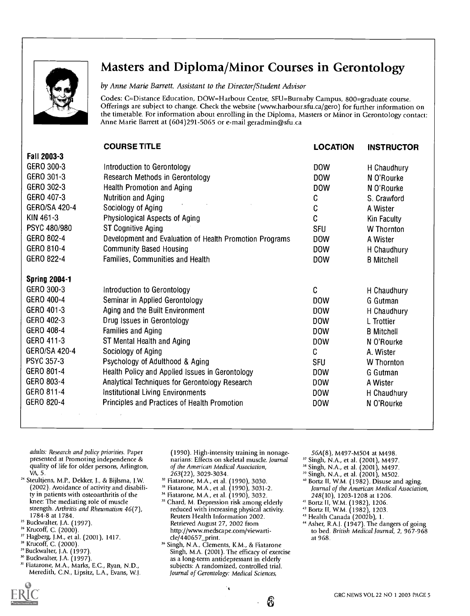

# Masters and Diploma/Minor Courses in Gerontology

by Anne Marie Barrett, Assistant to the Director/Student Advisor

Codes: C=Distance Education, DOW=Harbour Centre, SFU=Burnaby Campus, 800=graduate course. Offerings are subject to change. Check the website (www.harbour.sfu.ca/gero) for further information on the timetable. For information about enrolling in the Diploma, Masters or Minor in Gerontology contact: Anne Marie Barrett at (604)291-5065 or e-mail geradmin@sfu.ca

|                      | <b>COURSE TITLE</b>                                     | <b>LOCATION</b> | <b>INSTRUCTOR</b> |
|----------------------|---------------------------------------------------------|-----------------|-------------------|
| Fall 2003-3          |                                                         |                 |                   |
| GERO 300-3           | Introduction to Gerontology                             | <b>DOW</b>      | H Chaudhury       |
| GERO 301-3           | Research Methods in Gerontology                         | <b>DOW</b>      | N O'Rourke        |
| GERO 302-3           | Health Promotion and Aging                              | <b>DOW</b>      | N O'Rourke        |
| GERO 407-3           | Nutrition and Aging                                     | C               | S. Crawford       |
| GERO/SA 420-4        | Sociology of Aging                                      | C               | A Wister          |
| KIN 461-3            | Physiological Aspects of Aging                          | C               | Kin Faculty       |
| PSYC 480/980         | <b>ST Cognitive Aging</b>                               | <b>SFU</b>      | <b>W</b> Thornton |
| GERO 802-4           | Development and Evaluation of Health Promotion Programs | <b>DOW</b>      | A Wister          |
| GERO 810-4           | <b>Community Based Housing</b>                          | <b>DOW</b>      | H Chaudhury       |
| GERO 822-4           | Families, Communities and Health                        | <b>DOW</b>      | <b>B</b> Mitchell |
| <b>Spring 2004-1</b> |                                                         |                 |                   |
| GERO 300-3           | Introduction to Gerontology                             | C               | H Chaudhury       |
| GERO 400-4           | Seminar in Applied Gerontology                          | <b>DOW</b>      | G Gutman          |
| GERO 401-3           | Aging and the Built Environment                         | <b>DOW</b>      | H Chaudhury       |
| GERO 402-3           | Drug Issues in Gerontology                              | <b>DOW</b>      | L Trottier        |
| GERO 408-4           | <b>Families and Aging</b>                               | DOW             | <b>B</b> Mitchell |
| GERO 411-3           | ST Mental Health and Aging                              | <b>DOW</b>      | N O'Rourke        |
| GERO/SA 420-4        | Sociology of Aging                                      | C               | A. Wister         |
| <b>PSYC 357-3</b>    | Psychology of Adulthood & Aging                         | <b>SFU</b>      | W Thornton        |
| GERO 801-4           | Health Policy and Applied Issues in Gerontology         | DOW             | G Gutman          |
| GERO 803-4           | Analytical Techniques for Gerontology Research          | <b>DOW</b>      | A Wister          |
| GERO 811-4           | Institutional Living Environments                       | <b>DOW</b>      | H Chaudhury       |
| GERO 820-4           | Principles and Practices of Health Promotion            |                 |                   |

adults: Research and policy priorities. Paper presented at Promoting independence & quality of life for older persons, Arlington, VA, 5.

<sup>24</sup> Steultjens, M.P., Dekker, J., & Bijlsma, J.W. (2002). Avoidance of activity and disability in patients with osteoarthritis of the knee: The mediating role of muscle strength. Arthritis and Rheumatism 46(7), 1784-8 at 1784.

- <sup>25</sup> Buckwalter, J.A. (1997).
- <sup>26</sup> Krucoff, C. (2000).
- <sup>27</sup> Hagberg, J.M., et al. (2001), 1417.
- <sup>28</sup> Krucoff, C. (2000).
- 29 Buckwalter, J.A. (1997).
- <sup>30</sup> Buckwalter, J.A. (1997).
- 3' Fiatarone, M.A., Marks, E.C., Ryan, N.D., Meredith, C.N., Lipsitz, L.A., Evans, W.I.

(1990). High-intensity training in nonagenarians: Effects on skeletal muscle. Journal of the American Medical Association, 263(22), 3029-3034.

- Fiatarone, M.A., et al. (1990), 3030.
- 33 Fiatarone, M.A., et al. (1990), 3031-2.
- <sup>34</sup> Fiatarone, M.A., et al. (1990), 3032.
- <sup>35</sup> Chard, M. Depression risk among elderly reduced with increasing physical activity. Reuters Health Information 2002. Retrieved August 27, 2002 from http://www.medscape.com/viewarticle/440657\_print.
- <sup>36</sup> Singh, N.A., Clements, K.M., & Fiatarone Singh, M.A. (2001). The efficacy of exercise as a long-term antidepressant in elderly subjects: A randomized, controlled trial. Journal of Gerontology: Medical Sciences,

۰,

6

- 56A(8), M497-M504 at M498.
- <sup>37</sup> Singh, N.A., et al. (2001), M497.
- <sup>38</sup> Singh, N.A., et al. (2001), M497.
- <sup>39</sup> Singh, N.A., et al. (2001), M502.
- 40 Bortz II, W.M. (1982). Disuse and aging. Journal of the American Medical Association, 248(10), 1203-1208 at 1206.
- 4' Bortz II, W.M. (1982), 1206.
- " Bortz II, W.M. (1982), 1203.
- " Health Canada (2002b), 1.
- " Asher, R.A.J. (1947). The dangers of going to bed. British Medical Journal, 2, 967-968 at 968.

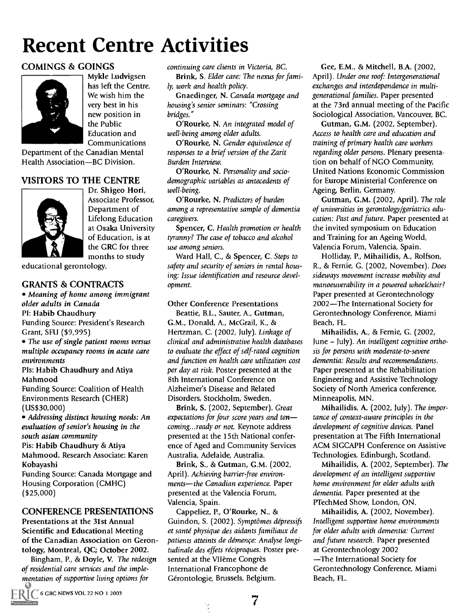# Recent Centre Activities

## COMINGS & GOINGS



Mykle Ludvigsen has left the Centre. We wish him the very best in his new position in the Public Education and Communications

Department of the Canadian Mental Health Association-BC Division.

# VISITORS TO THE CENTRE



Dr. Shigeo Hori, Associate Professor, Department of Lifelong Education at Osaka University of Education, is at the GRC for three months to study

educational gerontology.

## GRANTS & CONTRACTS

Meaning of home among immigrant older adults in Canada PI: Habib Chaudhury Funding Source: President's Research Grant, SFU (\$9,995)

• The use of single patient rooms versus multiple occupancy rooms in acute care environments

PIs: Habib Chaudhury and Atiya Mahmood

Funding Source: Coalition of Health Environments Research (CHER) (US\$30,000)

Addressing distinct housing needs: An evaluation of senior's housing in the south asian community

Pis: Habib Chaudhury & Atiya Mahmood. Research Associate: Karen Kobayashi

Funding Source: Canada Mortgage and Housing Corporation (CMHC) (\$25,000)

## CONFERENCE PRESENTATIONS

Presentations at the 31st Annual Scientific and Educational Meeting of the Canadian Association on Gerontology, Montreal, QC; October 2002.

Bingham, P., & Doyle, V. The redesign of residential care services and the implementation of supportive living options for

continuing care clients in Victoria, BC.

Brink, S. Elder care: The nexus for family, work and health policy.

Gnaedinger, N. Canada mortgage and housing's senior seminars: "Crossing bridges."

O'Rourke, N. An integrated model of well-being among older adults.

O'Rourke, N. Gender equivalence of responses to a brief version of the Zarit Burden Interview.

O'Rourke, N. Personality and sociodemographic variables as antecedents of well-being.

O'Rourke, N. Predictors of burden among a representative sample of dementia caregivers.

Spencer, C. Health promotion or health tyranny? The case of tobacco and alcohol use among seniors.

Ward Hall, C., & Spencer, C. Steps to safety and security of seniors in rental housing: Issue identification and resource development.

Other Conference Presentations

Beattie, B.L., Sauter, A., Gutman, G.M., Donald, A., McGrail, K., & Hertzman, C. (2002, July). Linkage of clinical and administrative health databases to evaluate the effect of self-rated cognition and function on health care utilization cost per day at risk. Poster presented at the 8th International Conference on Alzheimer's Disease and Related Disorders, Stockholm, Sweden.

Brink, S. (2002, September). Great expectations for four score years and ten coming...ready or not. Keynote address presented at the 15th National conference of Aged and Community Services Australia, Adelaide, Australia.

Brink, S., & Gutman, G.M. (2002, April). Achieving barrier-free environments-the Canadian experience. Paper presented at the Valencia Forum, Valencia, Spain.

Cappeliez, P., O'Rourke, N., & Guindon, S. (2002). Symptômes dépressifs et santé physique des aidants familiaux de patients atteints de demence: Analyse longitudinale des effets réciproques. Poster presented at the VIIème Congrès International Francophone de Gérontologie, Brussels, Belgium.

Gee, E.M., & Mitchell, B.A. (2002, April). Under one roof: Intergenerational exchanges and interdependence in multigenerational families. Paper presented at the 73rd annual meeting of the Pacific Sociological Association, Vancouver, BC.

Gutman, G.M. (2002, September). Access to health care and education and training of primary health care workers regarding older persons. Plenary presentation on behalf of NGO Community, United Nations Economic Commission for Europe Ministerial Conference on Ageing, Berlin, Germany.

Gutman, G.M. (2002, April). The role of universities in gerontology/geriatrics education: Past and future. Paper presented at the invited symposium on Education and Training for an Ageing World, Valencia Forum, Valencia, Spain.

Holliday, P., Mihailidis, A., Rolfson, R., & Fernie, G. (2002, November). Does sideways movement increase mobility and manoeuverability in a powered wheelchair? Paper presented at Gerontechnology 2002-The International Society for Gerontechnology Conference, Miami Beach, FL.

Mihailidis, A., & Fernie, G. (2002, June - July). An intelligent cognitive orthosis for persons with moderate-to-severe dementia: Results and recommendations. Paper presented at the Rehabilitation Engineering and Assistive Technology Society of North America conference, Minneapolis, MN.

Mihailidis, A. (2002, July). The importance of context-aware principles in the development of cognitive devices. Panel presentation at The Fifth International ACM SIGCAPH Conference on Assistive Technologies, Edinburgh, Scotland.

Mihailidis, A. (2002, September). The development of an intelligent supportive home environment for older adults with dementia. Paper presented at the PTechMed Show, London, ON.

Mihailidis, A. (2002, November). Intelligent supportive home environments for older adults with dementia: Current and future research. Paper presented at Gerontechnology 2002 The International Society for Gerontechnology Conference, Miami Beach, FL.

7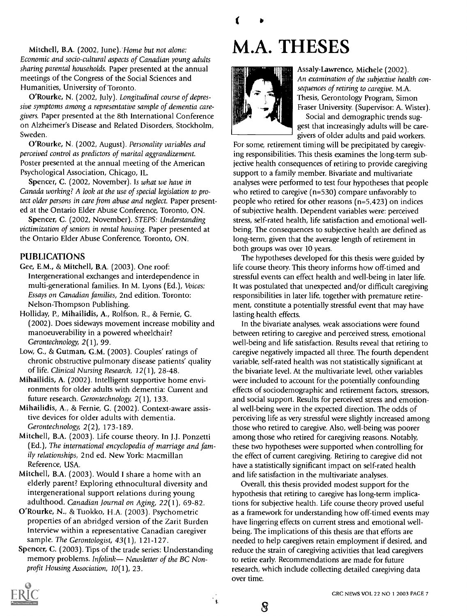Mitchell, B.A. (2002, June). Home but not alone: Economic and socio-cultural aspects of Canadian young adults sharing parental households. Paper presented at the annual meetings of the Congress of the Social Sciences and Humanities, University of Toronto.

O'Rourke, N. (2002, July). Longitudinal course of depressive symptoms among a representative sample of dementia caregivers. Paper presented at the 8th International Conference on Alzheimer's Disease and Related Disorders, Stockholm, Sweden.

O'Rourke, N. (2002, August). Personality variables and perceived control as predictors of marital aggrandizement. Poster presented at the annual meeting of the American Psychological Association, Chicago, IL.

Spencer, C. (2002, November). Is what we have in Canada working? A look at the use of special legislation to protect older persons in care from abuse and neglect. Paper presented at the Ontario Elder Abuse Conference, Toronto, ON.

Spencer, C. (2002, November). STEPS: Understanding victimization of seniors in rental housing. Paper presented at the Ontario Elder Abuse Conference, Toronto, ON.

## PUBLICATIONS

- Gee, E.M., & Mitchell, B.A. (2003). One roof: Intergenerational exchanges and interdependence in multi-generational families. In M. Lyons (Ed.), Voices: Essays on Canadian families, 2nd edition. Toronto: Nelson-Thompson Publishing.
- Holliday, P., Mihailidis, A., Rolfson, R., & Fernie, G. (2002). Does sideways movement increase mobility and manoeuverability in a powered wheelchair? Gerontechnology, 2(1), 99.
- Low, G., & Gutman, G.M. (2003). Couples' ratings of chronic obstructive pulmonary disease patients' quality of life. Clinical Nursing Research, 12(1), 28-48.
- Mihailidis, A. (2002). Intelligent supportive home environments for older adults with dementia: Current and future research. Gerontechnology, 2(1), 133.
- Mihailidis, A., & Fernie, G. (2002). Context-aware assistive devices for older adults with dementia. Gerontechnology, 2(2), 173-189.
- Mitchell, B.A. (2003). Life course theory. In J.J. Ponzetti (Ed.), The international encyclopedia of marriage and family relationships, 2nd ed. New York: Macmillan Reference, USA.
- Mitchell, B.A. (2003). Would I share a home with an elderly parent? Exploring ethnocultural diversity and intergenerational support relations during young adulthood. Canadian Journal on Aging, 22(1), 69-82.
- O'Rourke, N., & Tuokko, H.A. (2003). Psychometric properties of an abridged version of the Zarit Burden Interview within a representative Canadian caregiver sample. The Gerontologist, 43(1), 121-127.
- Spencer, C. (2003). Tips of the trade series: Understanding memory problems. Infolink- Newsletter of the BC Nonprofit Housing Association, 10(1), 23.





Assaly-Lawrence, Michele (2002). An examination of the subjective health consequences of retiring to caregive. M.A. Thesis, Gerontology Program, Simon Fraser University. (Supervisor: A. Wister). Social and demographic trends suggest that increasingly adults will be caregivers of older adults and paid workers.

For some, retirement timing will be precipitated by caregiving responsibilities. This thesis examines the long-term subjective health consequences of retiring to provide caregiving support to a family member. Bivariate and multivariate analyses were performed to test four hypotheses that people who retired to caregive (n=530) compare unfavorably to people who retired for other reasons (n=5,423) on indices of subjective health. Dependent variables were: perceived stress, self-rated health, life satisfaction and emotional wellbeing. The consequences to subjective health are defined as long-term, given that the average length of retirement in both groups was over 10 years.

The hypotheses developed for this thesis were guided by life course theory. This theory informs how off-timed and stressful events can effect health and well-being in later life. It was postulated that unexpected and/or difficult caregiving responsibilities in later life, together with premature retirement, constitute a potentially stressful event that may have lasting health effects.

In the bivariate analyses, weak associations were found between retiring to caregive and perceived stress, emotional well-being and life satisfaction. Results reveal that retiring to caregive negatively impacted all three. The fourth dependent variable, self-rated health was not statistically significant at the bivariate level. At the multivariate level, other variables were included to account for the potentially confounding effects of sociodemographic and retirement factors, stressors, and social support. Results for perceived stress and emotional well-being were in the expected direction. The odds of perceiving life as very stressful were slightly increased among those who retired to caregive. Also, well-being was poorer among those who retired for caregiving reasons. Notably, these two hypotheses were supported when controlling for the effect of current caregiving. Retiring to caregive did not have a statistically significant impact on self-rated health and life satisfaction in the multivariate analyses.

Overall, this thesis provided modest support for the hypothesis that retiring to caregive has long-term implications for subjective health. Life course theory proved useful as a framework for understanding how off-timed events may have lingering effects on current stress and emotional wellbeing. The implications of this thesis are that efforts are needed to help caregivers retain employment if desired, and reduce the strain of caregiving activities that lead caregivers to retire early. Recommendations are made for future research, which include collecting detailed caregiving data over time.



8

Ì.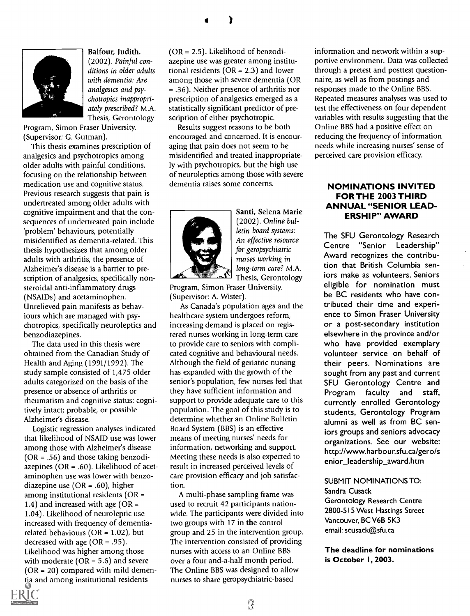

Balfour, Judith. (2002). Painful conditions in older adults with dementia: Are analgesics and psychotropics inappropriately prescribed? M.A. Thesis, Gerontology

Program, Simon Fraser University. (Supervisor: G. Gutman).

This thesis examines prescription of analgesics and psychotropics among older adults with painful conditions, focusing on the relationship between medication use and cognitive status. Previous research suggests that pain is undertreated among older adults with cognitive impairment and that the consequences of undertreated pain include 'problem' behaviours, potentially misidentified as dementia-related. This thesis hypothesizes that among older adults with arthritis, the presence of Alzheimer's disease is a barrier to prescription of analgesics, specifically nonsteroidal anti-inflammatory drugs (NSAIDs) and acetaminophen. Unrelieved pain manifests as behaviours which are managed with psychotropics, specifically neuroleptics and benzodiazepines.

The data used in this thesis were obtained from the Canadian Study of Health and Aging (1991/1992). The study sample consisted of 1,475 older adults categorized on the basis of the presence or absence of arthritis or rheumatism and cognitive status: cognitively intact; probable, or possible Alzheimer's disease.

Logistic regression analyses indicated that likelihood of NSAID use was lower among those with Alzheimer's disease ( $OR = .56$ ) and those taking benzodiazepines ( $OR = .60$ ). Likelihood of acetaminophen use was lower with benzodiazepine use (OR = .60), higher among institutional residents (OR = 1.4) and increased with age ( $OR =$ 1.04). Likelihood of neuroleptic use increased with frequency of dementiarelated behaviours ( $OR = 1.02$ ), but decreased with age ( $OR = .95$ ). Likelihood was higher among those with moderate ( $OR = 5.6$ ) and severe  $(OR = 20)$  compared with mild dementia and among institutional residents

(OR = 2.5). Likelihood of benzodiazepine use was greater among institutional residents (OR = 2.3) and lower among those with severe dementia (OR = .36). Neither presence of arthritis nor prescription of analgesics emerged as a statistically significant predictor of prescription of either psychotropic.

)

Results suggest reasons to be both encouraged and concerned. It is encouraging that pain does not seem to be misidentified and treated inappropriately with psychotropics, but the high use of neuroleptics among those with severe dementia raises some concerns.



Santi, Selena Marie (2002). Online bulletin board systems: An effective resource for geropsychiatric nurses working in long-term care? M.A. Thesis, Gerontology

Program, Simon Fraser University. (Supervisor: A. Wister).

As Canada's population ages and the healthcare system undergoes reform, increasing demand is placed on registered nurses working in long-term care to provide care to seniors with complicated cognitive and behavioural needs. Although the field of geriatric nursing has expanded with the growth of the senior's population, few nurses feel that they have sufficient information and support to provide adequate care to this population. The goal of this study is to determine whether an Online Bulletin Board System (BBS) is an effective means of meeting nurses' needs for information, networking and support. Meeting these needs is also expected to result in increased perceived levels of care provision efficacy and job satisfaction.

A multi-phase sampling frame was used to recruit 42 participants nationwide. The participants were divided into two groups with 17 in the control group and 25 in the intervention group. The intervention consisted of providing nurses with access to an Online BBS over a four and-a-half month period. The Online BBS was designed to allow nurses to share geropsychiatric-based

information and network within a supportive environment. Data was collected through a pretest and posttest questionnaire, as well as from postings and responses made to the Online BBS. Repeated measures analyses was used to test the effectiveness on four dependent variables with results suggesting that the Online BBS had a positive effect on reducing the frequency of information needs while increasing nurses' sense of perceived care provision efficacy.

### NOMINATIONS INVITED FOR THE 2003 THIRD ANNUAL "SENIOR LEAD-ERSHIP" AWARD

The SFU Gerontology Research Centre "Senior Leadership" Award recognizes the contribution that British Columbia seniors make as volunteers. Seniors eligible for nomination must be BC residents who have contributed their time and experience to Simon Fraser University or a post-secondary institution elsewhere in the province and/or who have provided exemplary volunteer service on behalf of their peers. Nominations are sought from any past and current SFU Gerontology Centre and Program faculty and staff, currently enrolled Gerontology students, Gerontology Program alumni as well as from BC seniors groups and seniors advocacy organizations. See our website: http://www.harbour.sfu.ca/gero/s enior\_leadership\_award.htm

### SUBMIT NOMINATIONS TO:

Sandra Cusack

Gerontology Research Centre 2800-515 West Hastings Street Vancouver, BC V6B 5K3 email: scusack@sfu.ca

The deadline for nominations is October I, 2003.

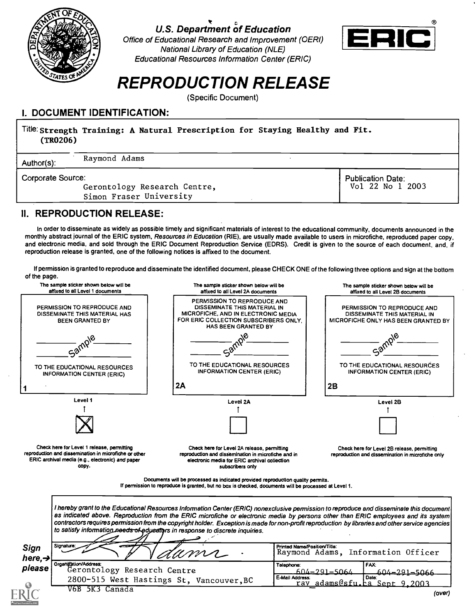

# U.S. Department of Education

Office of Educational Research and Improvement (OERI) National Library of Education (NLE) Educational Resources Information Center (ERIC)



# REPRODUCTION RELEASE

(Specific Document)

# I. DOCUMENT IDENTIFICATION:

## Title Strength Training: A Natural Prescription for Staying Healthy and Fit. (TR0206) Author(s): Raymond Adams Corporate Source: Gerontology Research Centre, Simon Fraser University Publication Date: Vol 22 No 1 2003

## II. REPRODUCTION RELEASE:

In order to disseminate as widely as possible timely and significant materials of interest to the educational community, documents announced in the monthly abstract journal of the ERIC system, Resources in Education (RIE), are usually made available to users in microfiche, reproduced paper copy, and electronic media, and sold through the ERIC Document Reproduction Service (EDRS). Credit is given to the source of each document, and, if reproduction release is granted, one of the following notices is affixed to the document.

If permission is granted to reproduce and disseminate the identified document, please CHECK ONE of the following three options and sign at the bottom of the page.



| as indicated above. Reproduction from the ERIC microfiche or electronic media by persons other than ERIC employees and its system <br>contractors requires permission from the copyright holder. Exception is made for non-profit reproduction by libraries and other service agencies<br>to satisfy information needs of educators in response to discrete inquiries. |                                                                    |
|------------------------------------------------------------------------------------------------------------------------------------------------------------------------------------------------------------------------------------------------------------------------------------------------------------------------------------------------------------------------|--------------------------------------------------------------------|
| Signature:<br>Sign<br>"aums-<br>here, $\rightarrow$                                                                                                                                                                                                                                                                                                                    | Printed Name/Position/Title:<br>Raymond Adams, Information Officer |
| Organization/Address:<br>please<br>Gerontology Research Centre                                                                                                                                                                                                                                                                                                         | l FAX:<br>Telephone:<br>$604 - 291 - 5064$<br>$604 - 291 - 5066$   |
| 2800-515 West Hastings St, Vancouver, BC                                                                                                                                                                                                                                                                                                                               | E-Mail Address:<br>l Date:<br>adams@sfu.ca Sept 9.2003<br>ray      |
| V6B 5K3<br>Canada                                                                                                                                                                                                                                                                                                                                                      | (over)                                                             |